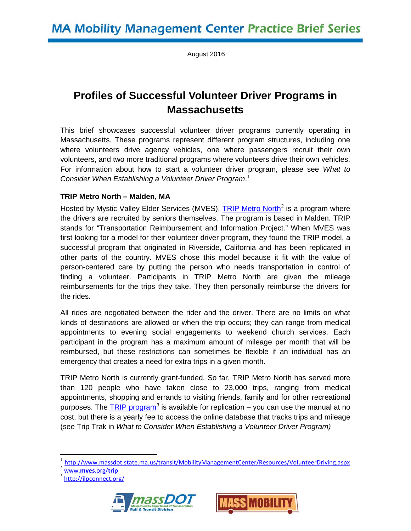August 2016

# **Profiles of Successful Volunteer Driver Programs in Massachusetts**

This brief showcases successful volunteer driver programs currently operating in Massachusetts. These programs represent different program structures, including one where volunteers drive agency vehicles, one where passengers recruit their own volunteers, and two more traditional programs where volunteers drive their own vehicles. For information about how to start a volunteer driver program, please see *What to Consider When Establishing a Volunteer Driver Program*. [1](#page-0-0)

## **TRIP Metro North – Malden, MA**

Hosted by Mystic Valley Elder Services (MVES), [TRIP Metro North](http://www.mves.org/trip)<sup>[2](#page-0-1)</sup> is a program where the drivers are recruited by seniors themselves. The program is based in Malden. TRIP stands for "Transportation Reimbursement and Information Project." When MVES was first looking for a model for their volunteer driver program, they found the TRIP model, a successful program that originated in Riverside, California and has been replicated in other parts of the country. MVES chose this model because it fit with the value of person-centered care by putting the person who needs transportation in control of finding a volunteer. Participants in TRIP Metro North are given the mileage reimbursements for the trips they take. They then personally reimburse the drivers for the rides.

All rides are negotiated between the rider and the driver. There are no limits on what kinds of destinations are allowed or when the trip occurs; they can range from medical appointments to evening social engagements to weekend church services. Each participant in the program has a maximum amount of mileage per month that will be reimbursed, but these restrictions can sometimes be flexible if an individual has an emergency that creates a need for extra trips in a given month.

TRIP Metro North is currently grant-funded. So far, TRIP Metro North has served more than 120 people who have taken close to 23,000 trips, ranging from medical appointments, shopping and errands to visiting friends, family and for other recreational purposes. The [TRIP program](http://ilpconnect.org/)<sup>[3](#page-0-2)</sup> is available for replication  $-$  you can use the manual at no cost, but there is a yearly fee to access the online database that tracks trips and mileage (see Trip Trak in *What to Consider When Establishing a Volunteer Driver Program)*

<span id="page-0-2"></span><span id="page-0-1"></span><sup>&</sup>lt;sup>3</sup> <http://ilpconnect.org/>





<span id="page-0-0"></span><http://www.massdot.state.ma.us/transit/MobilityManagementCenter/Resources/VolunteerDriving.aspx><br>www.mves.org/trip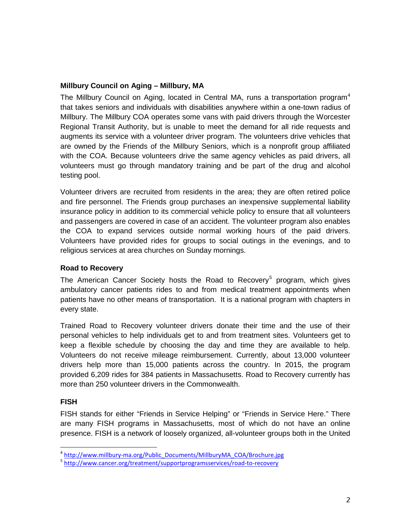## **Millbury Council on Aging – Millbury, MA**

The Millbury Council on Aging, located in Central MA, runs a transportation program<sup>[4](#page-1-0)</sup> that takes seniors and individuals with disabilities anywhere within a one-town radius of Millbury. The Millbury COA operates some vans with paid drivers through the Worcester Regional Transit Authority, but is unable to meet the demand for all ride requests and augments its service with a volunteer driver program. The volunteers drive vehicles that are owned by the Friends of the Millbury Seniors, which is a nonprofit group affiliated with the COA. Because volunteers drive the same agency vehicles as paid drivers, all volunteers must go through mandatory training and be part of the drug and alcohol testing pool.

Volunteer drivers are recruited from residents in the area; they are often retired police and fire personnel. The Friends group purchases an inexpensive supplemental liability insurance policy in addition to its commercial vehicle policy to ensure that all volunteers and passengers are covered in case of an accident. The volunteer program also enables the COA to expand services outside normal working hours of the paid drivers. Volunteers have provided rides for groups to social outings in the evenings, and to religious services at area churches on Sunday mornings.

#### **Road to Recovery**

The American Cancer Society hosts the Road to Recovery<sup>[5](#page-1-1)</sup> program, which gives ambulatory cancer patients rides to and from medical treatment appointments when patients have no other means of transportation. It is a national program with chapters in every state.

Trained Road to Recovery volunteer drivers donate their time and the use of their personal vehicles to help individuals get to and from treatment sites. Volunteers get to keep a flexible schedule by choosing the day and time they are available to help. Volunteers do not receive mileage reimbursement. Currently, about 13,000 volunteer drivers help more than 15,000 patients across the country. In 2015, the program provided 6,209 rides for 384 patients in Massachusetts. Road to Recovery currently has more than 250 volunteer drivers in the Commonwealth.

#### **FISH**

FISH stands for either "Friends in Service Helping" or "Friends in Service Here." There are many FISH programs in Massachusetts, most of which do not have an online presence. FISH is a network of loosely organized, all-volunteer groups both in the United

<span id="page-1-1"></span><span id="page-1-0"></span><sup>&</sup>lt;sup>4</sup> [http://www.millbury-ma.org/Public\\_Documents/MillburyMA\\_COA/Brochure.jpg](http://www.millbury-ma.org/Public_Documents/MillburyMA_COA/Brochure.jpg)<br><sup>5</sup> <http://www.cancer.org/treatment/supportprogramsservices/road-to-recovery>